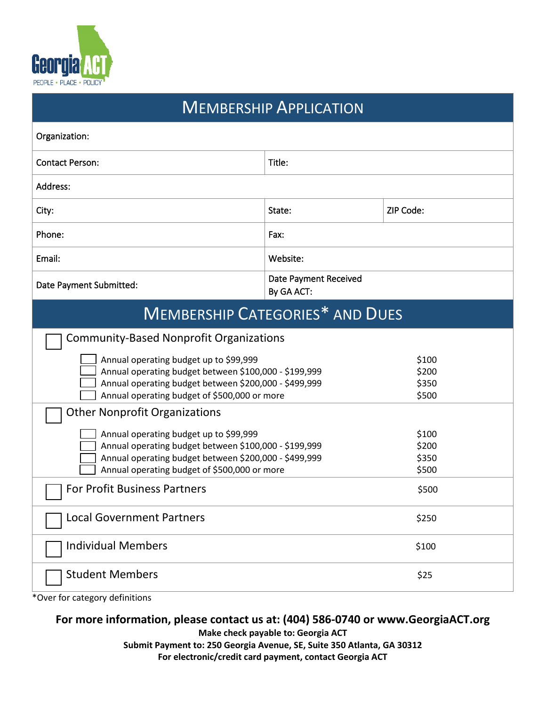

| <b>MEMBERSHIP APPLICATION</b>                                                                                  |                                     |                |
|----------------------------------------------------------------------------------------------------------------|-------------------------------------|----------------|
| Organization:                                                                                                  |                                     |                |
| <b>Contact Person:</b>                                                                                         | Title:                              |                |
| Address:                                                                                                       |                                     |                |
| City:                                                                                                          | State:                              | ZIP Code:      |
| Phone:                                                                                                         | Fax:                                |                |
| Email:                                                                                                         | Website:                            |                |
| Date Payment Submitted:                                                                                        | Date Payment Received<br>By GA ACT: |                |
| <b>MEMBERSHIP CATEGORIES* AND DUES</b>                                                                         |                                     |                |
| <b>Community-Based Nonprofit Organizations</b>                                                                 |                                     |                |
| Annual operating budget up to \$99,999                                                                         |                                     | \$100          |
| Annual operating budget between \$100,000 - \$199,999<br>Annual operating budget between \$200,000 - \$499,999 |                                     | \$200<br>\$350 |
| Annual operating budget of \$500,000 or more                                                                   |                                     | \$500          |
| <b>Other Nonprofit Organizations</b>                                                                           |                                     |                |
| Annual operating budget up to \$99,999                                                                         |                                     | \$100          |
| Annual operating budget between \$100,000 - \$199,999                                                          |                                     | \$200          |
| Annual operating budget between \$200,000 - \$499,999<br>Annual operating budget of \$500,000 or more          |                                     | \$350<br>\$500 |
| For Profit Business Partners                                                                                   |                                     | \$500          |
| <b>Local Government Partners</b>                                                                               |                                     | \$250          |
| <b>Individual Members</b>                                                                                      |                                     | \$100          |
| <b>Student Members</b>                                                                                         |                                     | \$25           |

\*Over for category definitions

## **For more information, please contact us at: (404) 586-0740 or www.GeorgiaACT.org**

**Make check payable to: Georgia ACT**

**Submit Payment to: 250 Georgia Avenue, SE, Suite 350 Atlanta, GA 30312 For electronic/credit card payment, contact Georgia ACT**